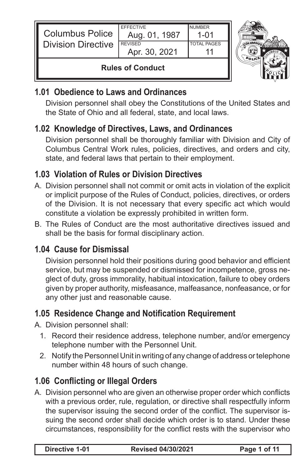| <b>Columbus Police</b><br><b>Division Directive</b> | <b>FFFFCTIVE</b><br>Aug. 01, 1987<br><b>REVISED</b> | <b>NUMBER</b><br>1-01<br><b>TOTAL PAGES</b> |  |
|-----------------------------------------------------|-----------------------------------------------------|---------------------------------------------|--|
|                                                     | Apr. 30, 2021                                       |                                             |  |
| <b>Rules of Conduct</b>                             |                                                     |                                             |  |

### **1.01 Obedience to Laws and Ordinances**

Division personnel shall obey the Constitutions of the United States and the State of Ohio and all federal, state, and local laws.

### **1.02 Knowledge of Directives, Laws, and Ordinances**

Division personnel shall be thoroughly familiar with Division and City of Columbus Central Work rules, policies, directives, and orders and city, state, and federal laws that pertain to their employment.

### **1.03 Violation of Rules or Division Directives**

- A. Division personnel shall not commit or omit acts in violation of the explicit or implicit purpose of the Rules of Conduct, policies, directives, or orders of the Division. It is not necessary that every specific act which would constitute a violation be expressly prohibited in written form.
- B. The Rules of Conduct are the most authoritative directives issued and shall be the basis for formal disciplinary action.

### **1.04 Cause for Dismissal**

Division personnel hold their positions during good behavior and efficient service, but may be suspended or dismissed for incompetence, gross neglect of duty, gross immorality, habitual intoxication, failure to obey orders given by proper authority, misfeasance, malfeasance, nonfeasance, or for any other just and reasonable cause.

### **1.05 Residence Change and Notification Requirement**

A. Division personnel shall:

- 1. Record their residence address, telephone number, and/or emergency telephone number with the Personnel Unit.
- 2. Notify the Personnel Unit in writing of any change of address or telephone number within 48 hours of such change.

## **1.06 Conflicting or Illegal Orders**

A. Division personnel who are given an otherwise proper order which conflicts with a previous order, rule, regulation, or directive shall respectfully inform the supervisor issuing the second order of the conflict. The supervisor issuing the second order shall decide which order is to stand. Under these circumstances, responsibility for the conflict rests with the supervisor who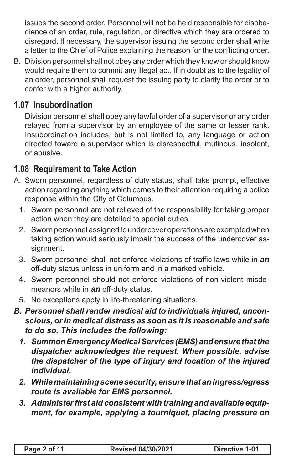issues the second order. Personnel will not be held responsible for disobedience of an order, rule, regulation, or directive which they are ordered to disregard. If necessary, the supervisor issuing the second order shall write a letter to the Chief of Police explaining the reason for the conflicting order.

B. Division personnel shall not obey any order which they know or should know would require them to commit any illegal act. If in doubt as to the legality of an order, personnel shall request the issuing party to clarify the order or to confer with a higher authority.

### **1.07 Insubordination**

Division personnel shall obey any lawful order of a supervisor or any order relayed from a supervisor by an employee of the same or lesser rank. Insubordination includes, but is not limited to, any language or action directed toward a supervisor which is disrespectful, mutinous, insolent, or abusive.

#### **1.08 Requirement to Take Action**

- A. Sworn personnel, regardless of duty status, shall take prompt, effective action regarding anything which comes to their attention requiring a police response within the City of Columbus.
	- 1. Sworn personnel are not relieved of the responsibility for taking proper action when they are detailed to special duties.
	- 2. Sworn personnel assigned to undercover operations are exempted when taking action would seriously impair the success of the undercover assignment.
	- 3. Sworn personnel shall not enforce violations of traffic laws while in *an* off-duty status unless in uniform and in a marked vehicle.
	- 4. Sworn personnel should not enforce violations of non-violent misdemeanors while in *an* off-duty status.
	- 5. No exceptions apply in life-threatening situations.
- *B. Personnel shall render medical aid to individuals injured, unconscious, or in medical distress as soon as it is reasonable and safe to do so. This includes the following:*
	- *1. Summon Emergency Medical Services (EMS) and ensure that the dispatcher acknowledges the request. When possible, advise the dispatcher of the type of injury and location of the injured individual.*
	- *2. While maintaining scene security, ensure that an ingress/egress route is available for EMS personnel.*
	- *3. Administer first aid consistent with training and available equipment, for example, applying a tourniquet, placing pressure on*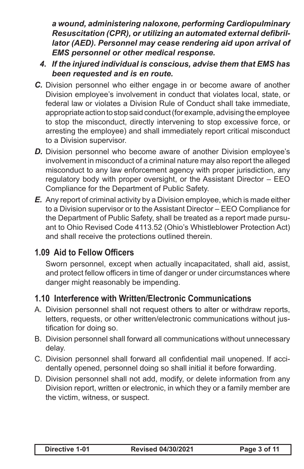*a wound, administering naloxone, performing Cardiopulminary Resuscitation (CPR), or utilizing an automated external defibrillator (AED). Personnel may cease rendering aid upon arrival of EMS personnel or other medical response.*

- *4. If the injured individual is conscious, advise them that EMS has been requested and is en route.*
- *C.* Division personnel who either engage in or become aware of another Division employee's involvement in conduct that violates local, state, or federal law or violates a Division Rule of Conduct shall take immediate, appropriate action to stop said conduct (for example, advising the employee to stop the misconduct, directly intervening to stop excessive force, or arresting the employee) and shall immediately report critical misconduct to a Division supervisor.
- **D.** Division personnel who become aware of another Division employee's involvement in misconduct of a criminal nature may also report the alleged misconduct to any law enforcement agency with proper jurisdiction, any regulatory body with proper oversight, or the Assistant Director – EEO Compliance for the Department of Public Safety.
- *E.* Any report of criminal activity by a Division employee, which is made either to a Division supervisor or to the Assistant Director – EEO Compliance for the Department of Public Safety, shall be treated as a report made pursuant to Ohio Revised Code 4113.52 (Ohio's Whistleblower Protection Act) and shall receive the protections outlined therein.

### **1.09 Aid to Fellow Officers**

Sworn personnel, except when actually incapacitated, shall aid, assist, and protect fellow officers in time of danger or under circumstances where danger might reasonably be impending.

#### **1.10 Interference with Written/Electronic Communications**

- A. Division personnel shall not request others to alter or withdraw reports, letters, requests, or other written/electronic communications without justification for doing so.
- B. Division personnel shall forward all communications without unnecessary delay.
- C. Division personnel shall forward all confidential mail unopened. If accidentally opened, personnel doing so shall initial it before forwarding.
- D. Division personnel shall not add, modify, or delete information from any Division report, written or electronic, in which they or a family member are the victim, witness, or suspect.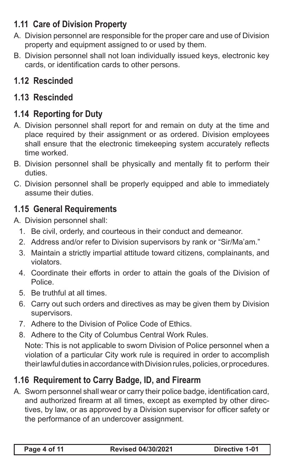# **1.11 Care of Division Property**

- A. Division personnel are responsible for the proper care and use of Division property and equipment assigned to or used by them.
- B. Division personnel shall not loan individually issued keys, electronic key cards, or identification cards to other persons.

# **1.12 Rescinded**

## **1.13 Rescinded**

## **1.14 Reporting for Duty**

- A. Division personnel shall report for and remain on duty at the time and place required by their assignment or as ordered. Division employees shall ensure that the electronic timekeeping system accurately reflects time worked.
- B. Division personnel shall be physically and mentally fit to perform their duties.
- C. Division personnel shall be properly equipped and able to immediately assume their duties.

#### **1.15 General Requirements**

A. Division personnel shall:

- 1. Be civil, orderly, and courteous in their conduct and demeanor.
- 2. Address and/or refer to Division supervisors by rank or "Sir/Ma'am."
- 3. Maintain a strictly impartial attitude toward citizens, complainants, and violators.
- 4. Coordinate their efforts in order to attain the goals of the Division of Police.
- 5. Be truthful at all times.
- 6. Carry out such orders and directives as may be given them by Division supervisors.
- 7. Adhere to the Division of Police Code of Ethics.
- 8. Adhere to the City of Columbus Central Work Rules.

Note: This is not applicable to sworn Division of Police personnel when a violation of a particular City work rule is required in order to accomplish their lawful duties in accordance with Division rules, policies, or procedures.

## **1.16 Requirement to Carry Badge, ID, and Firearm**

A. Sworn personnel shall wear or carry their police badge, identification card, and authorized firearm at all times, except as exempted by other directives, by law, or as approved by a Division supervisor for officer safety or the performance of an undercover assignment.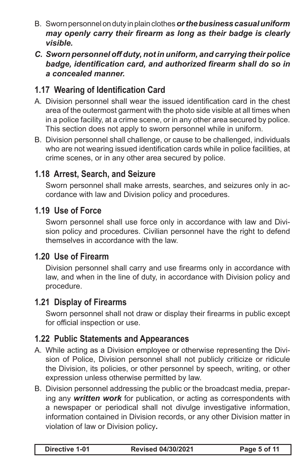- B. Sworn personnel on duty in plain clothes *or the business casual uniform may openly carry their firearm as long as their badge is clearly visible.*
- *C. Sworn personnel off duty, not in uniform, and carrying their police badge, identification card, and authorized firearm shall do so in a concealed manner.*

### **1.17 Wearing of Identification Card**

- A. Division personnel shall wear the issued identification card in the chest area of the outermost garment with the photo side visible at all times when in a police facility, at a crime scene, or in any other area secured by police. This section does not apply to sworn personnel while in uniform.
- B. Division personnel shall challenge, or cause to be challenged, individuals who are not wearing issued identification cards while in police facilities, at crime scenes, or in any other area secured by police.

### **1.18 Arrest, Search, and Seizure**

Sworn personnel shall make arrests, searches, and seizures only in accordance with law and Division policy and procedures.

#### **1.19 Use of Force**

Sworn personnel shall use force only in accordance with law and Division policy and procedures. Civilian personnel have the right to defend themselves in accordance with the law.

#### **1.20 Use of Firearm**

Division personnel shall carry and use firearms only in accordance with law, and when in the line of duty, in accordance with Division policy and procedure.

#### **1.21 Display of Firearms**

Sworn personnel shall not draw or display their firearms in public except for official inspection or use.

### **1.22 Public Statements and Appearances**

- A. While acting as a Division employee or otherwise representing the Division of Police, Division personnel shall not publicly criticize or ridicule the Division, its policies, or other personnel by speech, writing, or other expression unless otherwise permitted by law.
- B. Division personnel addressing the public or the broadcast media, preparing any *written work* for publication, or acting as correspondents with a newspaper or periodical shall not divulge investigative information, information contained in Division records, or any other Division matter in violation of law or Division policy*.*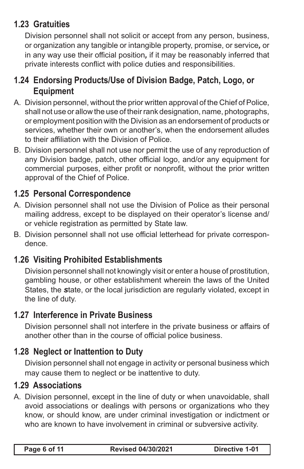### **1.23 Gratuities**

Division personnel shall not solicit or accept from any person, business, or organization any tangible or intangible property, promise, or service*,* or in any way use their official position*,* if it may be reasonably inferred that private interests conflict with police duties and responsibilities.

### **1.24 Endorsing Products/Use of Division Badge, Patch, Logo, or Equipment**

- A. Division personnel, without the prior written approval of the Chief of Police, shall not use or allow the use of their rank designation, name, photographs, or employment position with the Division as an endorsement of products or services, whether their own or another's, when the endorsement alludes to their affiliation with the Division of Police.
- B. Division personnel shall not use nor permit the use of any reproduction of any Division badge, patch, other official logo, and/or any equipment for commercial purposes, either profit or nonprofit, without the prior written approval of the Chief of Police.

### **1.25 Personal Correspondence**

- A. Division personnel shall not use the Division of Police as their personal mailing address, except to be displayed on their operator's license and/ or vehicle registration as permitted by State law.
- B. Division personnel shall not use official letterhead for private correspondence.

## **1.26 Visiting Prohibited Establishments**

Division personnel shall not knowingly visit or enter a house of prostitution, gambling house, or other establishment wherein the laws of the United States, the *s*tate, or the local jurisdiction are regularly violated, except in the line of duty.

### **1.27 Interference in Private Business**

Division personnel shall not interfere in the private business or affairs of another other than in the course of official police business.

### **1.28 Neglect or Inattention to Duty**

Division personnel shall not engage in activity or personal business which may cause them to neglect or be inattentive to duty.

### **1.29 Associations**

A. Division personnel, except in the line of duty or when unavoidable, shall avoid associations or dealings with persons or organizations who they know, or should know, are under criminal investigation or indictment or who are known to have involvement in criminal or subversive activity.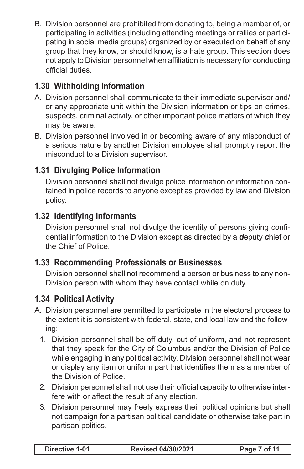B. Division personnel are prohibited from donating to, being a member of, or participating in activities (including attending meetings or rallies or participating in social media groups) organized by or executed on behalf of any group that they know, or should know, is a hate group. This section does not apply to Division personnel when affiliation is necessary for conducting official duties.

# **1.30 Withholding Information**

- A. Division personnel shall communicate to their immediate supervisor and/ or any appropriate unit within the Division information or tips on crimes, suspects, criminal activity, or other important police matters of which they may be aware.
- B. Division personnel involved in or becoming aware of any misconduct of a serious nature by another Division employee shall promptly report the misconduct to a Division supervisor.

## **1.31 Divulging Police Information**

Division personnel shall not divulge police information or information contained in police records to anyone except as provided by law and Division policy.

### **1.32 Identifying Informants**

Division personnel shall not divulge the identity of persons giving confidential information to the Division except as directed by a *d*eputy *c*hief or the Chief of Police.

### **1.33 Recommending Professionals or Businesses**

Division personnel shall not recommend a person or business to any non-Division person with whom they have contact while on duty.

### **1.34 Political Activity**

- A. Division personnel are permitted to participate in the electoral process to the extent it is consistent with federal, state, and local law and the following:
	- 1. Division personnel shall be off duty, out of uniform, and not represent that they speak for the City of Columbus and/or the Division of Police while engaging in any political activity. Division personnel shall not wear or display any item or uniform part that identifies them as a member of the Division of Police.
	- 2. Division personnel shall not use their official capacity to otherwise interfere with or affect the result of any election.
	- 3. Division personnel may freely express their political opinions but shall not campaign for a partisan political candidate or otherwise take part in partisan politics.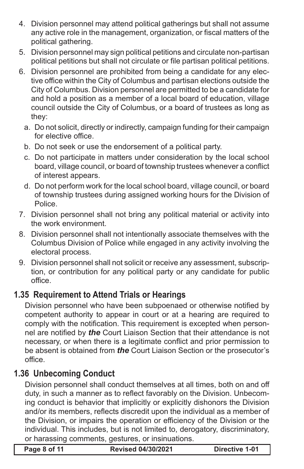- 4. Division personnel may attend political gatherings but shall not assume any active role in the management, organization, or fiscal matters of the political gathering.
- 5. Division personnel may sign political petitions and circulate non-partisan political petitions but shall not circulate or file partisan political petitions.
- 6. Division personnel are prohibited from being a candidate for any elective office within the City of Columbus and partisan elections outside the City of Columbus. Division personnel are permitted to be a candidate for and hold a position as a member of a local board of education, village council outside the City of Columbus, or a board of trustees as long as they:
	- a. Do not solicit, directly or indirectly, campaign funding for their campaign for elective office.
	- b. Do not seek or use the endorsement of a political party.
	- c. Do not participate in matters under consideration by the local school board, village council, or board of township trustees whenever a conflict of interest appears.
	- d. Do not perform work for the local school board, village council, or board of township trustees during assigned working hours for the Division of **Police**
- 7. Division personnel shall not bring any political material or activity into the work environment.
- 8. Division personnel shall not intentionally associate themselves with the Columbus Division of Police while engaged in any activity involving the electoral process.
- 9. Division personnel shall not solicit or receive any assessment, subscription, or contribution for any political party or any candidate for public office.

## **1.35 Requirement to Attend Trials or Hearings**

Division personnel who have been subpoenaed or otherwise notified by competent authority to appear in court or at a hearing are required to comply with the notification. This requirement is excepted when personnel are notified by *the* Court Liaison Section that their attendance is not necessary, or when there is a legitimate conflict and prior permission to be absent is obtained from *the* Court Liaison Section or the prosecutor's office.

### **1.36 Unbecoming Conduct**

Division personnel shall conduct themselves at all times, both on and off duty, in such a manner as to reflect favorably on the Division. Unbecoming conduct is behavior that implicitly or explicitly dishonors the Division and/or its members, reflects discredit upon the individual as a member of the Division, or impairs the operation or efficiency of the Division or the individual. This includes, but is not limited to, derogatory, discriminatory, or harassing comments, gestures, or insinuations.

**Page 8 of 11 Revised 04/30/2021 Directive 1-01**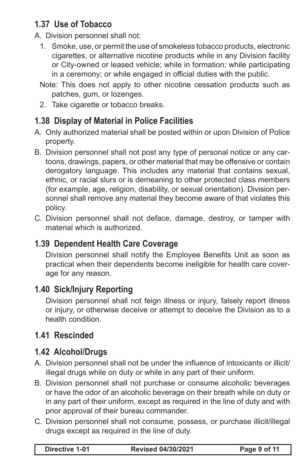## **1.37 Use of Tobacco**

- A. Division personnel shall not:
	- 1. Smoke, use, or permit the use of smokeless tobacco products, electronic cigarettes, or alternative nicotine products while in any Division facility or City-owned or leased vehicle; while in formation; while participating in a ceremony; or while engaged in official duties with the public.
	- Note: This does not apply to other nicotine cessation products such as patches, gum, or lozenges.
	- 2. Take cigarette or tobacco breaks.

## **1.38 Display of Material in Police Facilities**

- A. Only authorized material shall be posted within or upon Division of Police property.
- B. Division personnel shall not post any type of personal notice or any cartoons, drawings, papers, or other material that may be offensive or contain derogatory language. This includes any material that contains sexual, ethnic, or racial slurs or is demeaning to other protected class members (for example, age, religion, disability, or sexual orientation). Division personnel shall remove any material they become aware of that violates this policy.
- C. Division personnel shall not deface, damage, destroy, or tamper with material which is authorized.

### **1.39 Dependent Health Care Coverage**

Division personnel shall notify the Employee Benefits Unit as soon as practical when their dependents become ineligible for health care coverage for any reason.

### **1.40 Sick/Injury Reporting**

Division personnel shall not feign illness or injury, falsely report illness or injury, or otherwise deceive or attempt to deceive the Division as to a health condition.

## **1.41 Rescinded**

### **1.42 Alcohol/Drugs**

- A. Division personnel shall not be under the influence of intoxicants or illicit/ illegal drugs while on duty or while in any part of their uniform.
- B. Division personnel shall not purchase or consume alcoholic beverages or have the odor of an alcoholic beverage on their breath while on duty or in any part of their uniform, except as required in the line of duty and with prior approval of their bureau commander.
- C. Division personnel shall not consume, possess, or purchase illicit/illegal drugs except as required in the line of duty.

|  | Directive 1-01 | <b>Revised 04/30/2021</b> | Page 9 of 11 |
|--|----------------|---------------------------|--------------|
|--|----------------|---------------------------|--------------|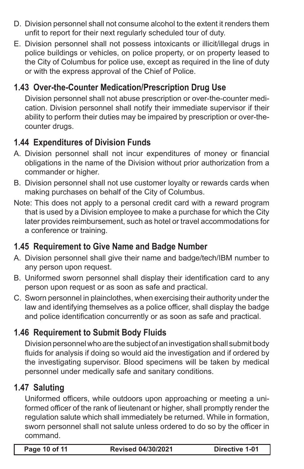- D. Division personnel shall not consume alcohol to the extent it renders them unfit to report for their next regularly scheduled tour of duty.
- E. Division personnel shall not possess intoxicants or illicit/illegal drugs in police buildings or vehicles, on police property, or on property leased to the City of Columbus for police use, except as required in the line of duty or with the express approval of the Chief of Police.

## **1.43 Over-the-Counter Medication/Prescription Drug Use**

Division personnel shall not abuse prescription or over-the-counter medication. Division personnel shall notify their immediate supervisor if their ability to perform their duties may be impaired by prescription or over-thecounter drugs.

## **1.44 Expenditures of Division Funds**

- A. Division personnel shall not incur expenditures of money or financial obligations in the name of the Division without prior authorization from a commander or higher.
- B. Division personnel shall not use customer loyalty or rewards cards when making purchases on behalf of the City of Columbus.
- Note: This does not apply to a personal credit card with a reward program that is used by a Division employee to make a purchase for which the City later provides reimbursement, such as hotel or travel accommodations for a conference or training.

## **1.45 Requirement to Give Name and Badge Number**

- A. Division personnel shall give their name and badge/tech/IBM number to any person upon request.
- B. Uniformed sworn personnel shall display their identification card to any person upon request or as soon as safe and practical.
- C. Sworn personnel in plainclothes, when exercising their authority under the law and identifying themselves as a police officer, shall display the badge and police identification concurrently or as soon as safe and practical.

## **1.46 Requirement to Submit Body Fluids**

Division personnel who are the subject of an investigation shall submit body fluids for analysis if doing so would aid the investigation and if ordered by the investigating supervisor. Blood specimens will be taken by medical personnel under medically safe and sanitary conditions.

### **1.47 Saluting**

Uniformed officers, while outdoors upon approaching or meeting a uniformed officer of the rank of lieutenant or higher, shall promptly render the regulation salute which shall immediately be returned. While in formation, sworn personnel shall not salute unless ordered to do so by the officer in command.